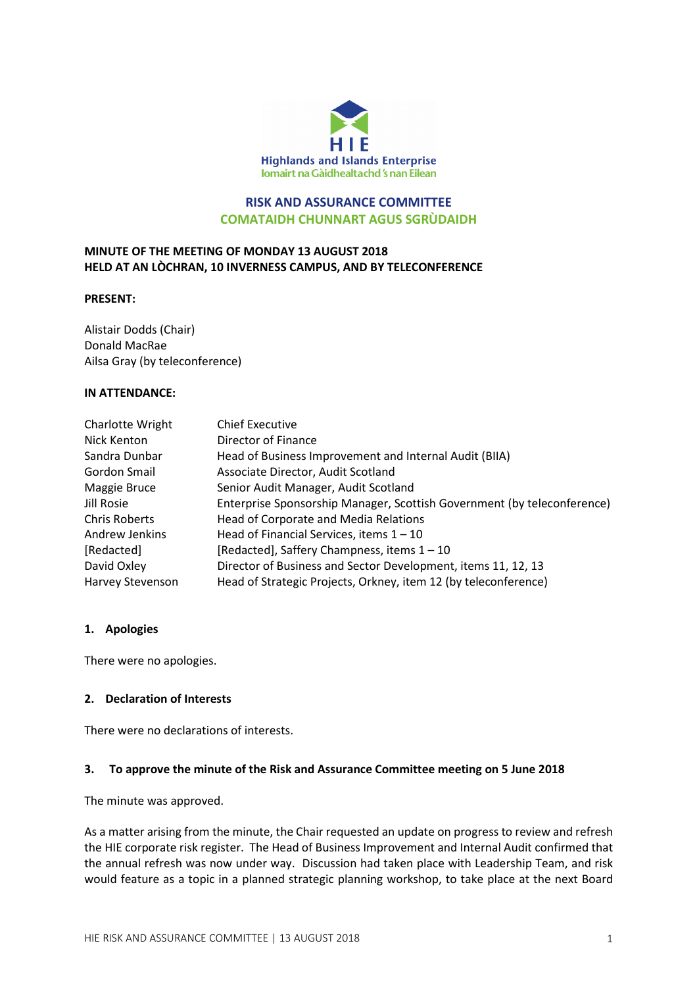

# RISK AND ASSURANCE COMMITTEE COMATAIDH CHUNNART AGUS SGRÙDAIDH

# MINUTE OF THE MEETING OF MONDAY 13 AUGUST 2018 HELD AT AN LÒCHRAN, 10 INVERNESS CAMPUS, AND BY TELECONFERENCE

#### PRESENT:

Alistair Dodds (Chair) Donald MacRae Ailsa Gray (by teleconference)

#### IN ATTENDANCE:

| Charlotte Wright     | <b>Chief Executive</b>                                                  |
|----------------------|-------------------------------------------------------------------------|
| Nick Kenton          | Director of Finance                                                     |
| Sandra Dunbar        | Head of Business Improvement and Internal Audit (BIIA)                  |
| Gordon Smail         | Associate Director, Audit Scotland                                      |
| Maggie Bruce         | Senior Audit Manager, Audit Scotland                                    |
| Jill Rosie           | Enterprise Sponsorship Manager, Scottish Government (by teleconference) |
| <b>Chris Roberts</b> | Head of Corporate and Media Relations                                   |
| Andrew Jenkins       | Head of Financial Services, items $1 - 10$                              |
| [Redacted]           | [Redacted], Saffery Champness, items 1 - 10                             |
| David Oxley          | Director of Business and Sector Development, items 11, 12, 13           |
| Harvey Stevenson     | Head of Strategic Projects, Orkney, item 12 (by teleconference)         |

### 1. Apologies

There were no apologies.

### 2. Declaration of Interests

There were no declarations of interests.

### 3. To approve the minute of the Risk and Assurance Committee meeting on 5 June 2018

The minute was approved.

As a matter arising from the minute, the Chair requested an update on progress to review and refresh the HIE corporate risk register. The Head of Business Improvement and Internal Audit confirmed that the annual refresh was now under way. Discussion had taken place with Leadership Team, and risk would feature as a topic in a planned strategic planning workshop, to take place at the next Board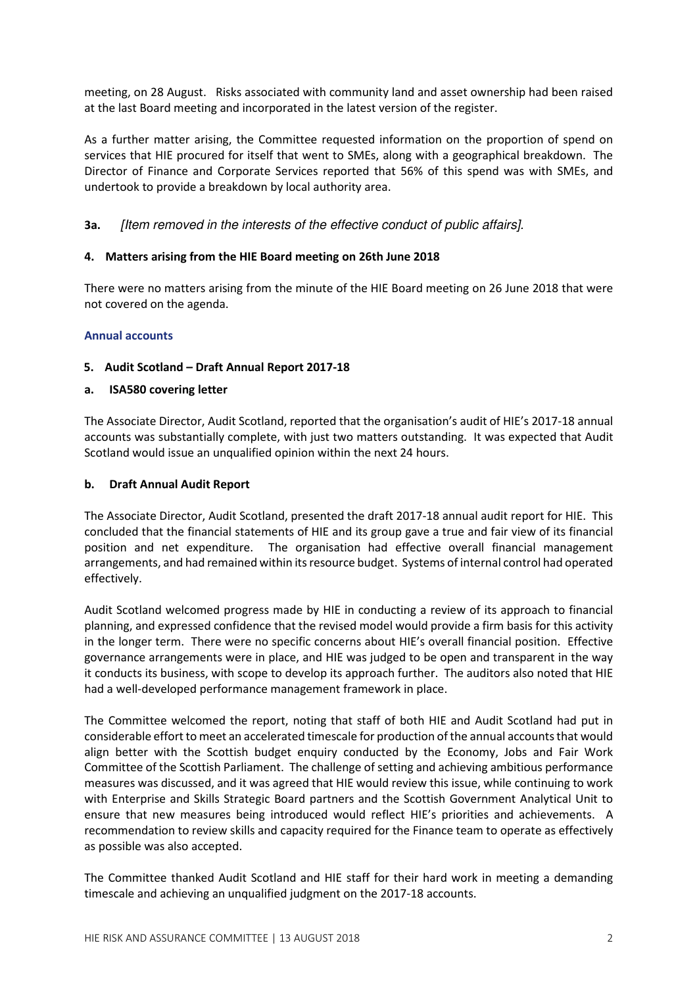meeting, on 28 August. Risks associated with community land and asset ownership had been raised at the last Board meeting and incorporated in the latest version of the register.

As a further matter arising, the Committee requested information on the proportion of spend on services that HIE procured for itself that went to SMEs, along with a geographical breakdown. The Director of Finance and Corporate Services reported that 56% of this spend was with SMEs, and undertook to provide a breakdown by local authority area.

3a. [Item removed in the interests of the effective conduct of public affairs].

### 4. Matters arising from the HIE Board meeting on 26th June 2018

There were no matters arising from the minute of the HIE Board meeting on 26 June 2018 that were not covered on the agenda.

### Annual accounts

# 5. Audit Scotland – Draft Annual Report 2017-18

# a. ISA580 covering letter

The Associate Director, Audit Scotland, reported that the organisation's audit of HIE's 2017-18 annual accounts was substantially complete, with just two matters outstanding. It was expected that Audit Scotland would issue an unqualified opinion within the next 24 hours.

### b. Draft Annual Audit Report

The Associate Director, Audit Scotland, presented the draft 2017-18 annual audit report for HIE. This concluded that the financial statements of HIE and its group gave a true and fair view of its financial position and net expenditure. The organisation had effective overall financial management arrangements, and had remained within its resource budget. Systems of internal control had operated effectively.

Audit Scotland welcomed progress made by HIE in conducting a review of its approach to financial planning, and expressed confidence that the revised model would provide a firm basis for this activity in the longer term. There were no specific concerns about HIE's overall financial position. Effective governance arrangements were in place, and HIE was judged to be open and transparent in the way it conducts its business, with scope to develop its approach further. The auditors also noted that HIE had a well-developed performance management framework in place.

The Committee welcomed the report, noting that staff of both HIE and Audit Scotland had put in considerable effort to meet an accelerated timescale for production of the annual accounts that would align better with the Scottish budget enquiry conducted by the Economy, Jobs and Fair Work Committee of the Scottish Parliament. The challenge of setting and achieving ambitious performance measures was discussed, and it was agreed that HIE would review this issue, while continuing to work with Enterprise and Skills Strategic Board partners and the Scottish Government Analytical Unit to ensure that new measures being introduced would reflect HIE's priorities and achievements. A recommendation to review skills and capacity required for the Finance team to operate as effectively as possible was also accepted.

The Committee thanked Audit Scotland and HIE staff for their hard work in meeting a demanding timescale and achieving an unqualified judgment on the 2017-18 accounts.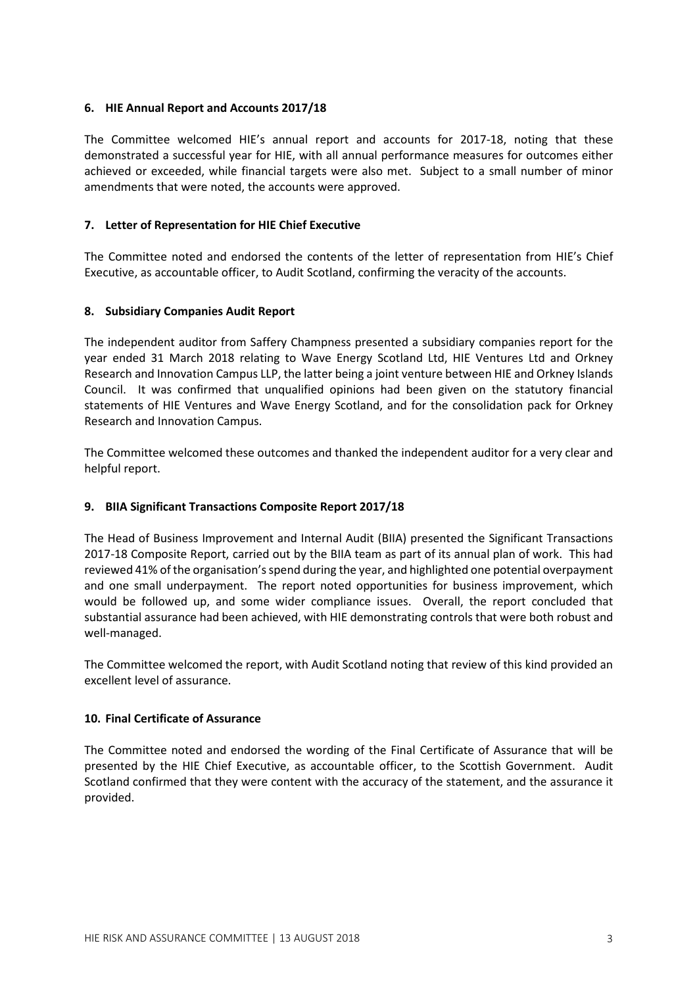### 6. HIE Annual Report and Accounts 2017/18

The Committee welcomed HIE's annual report and accounts for 2017-18, noting that these demonstrated a successful year for HIE, with all annual performance measures for outcomes either achieved or exceeded, while financial targets were also met. Subject to a small number of minor amendments that were noted, the accounts were approved.

# 7. Letter of Representation for HIE Chief Executive

The Committee noted and endorsed the contents of the letter of representation from HIE's Chief Executive, as accountable officer, to Audit Scotland, confirming the veracity of the accounts.

# 8. Subsidiary Companies Audit Report

The independent auditor from Saffery Champness presented a subsidiary companies report for the year ended 31 March 2018 relating to Wave Energy Scotland Ltd, HIE Ventures Ltd and Orkney Research and Innovation Campus LLP, the latter being a joint venture between HIE and Orkney Islands Council. It was confirmed that unqualified opinions had been given on the statutory financial statements of HIE Ventures and Wave Energy Scotland, and for the consolidation pack for Orkney Research and Innovation Campus.

The Committee welcomed these outcomes and thanked the independent auditor for a very clear and helpful report.

### 9. BIIA Significant Transactions Composite Report 2017/18

The Head of Business Improvement and Internal Audit (BIIA) presented the Significant Transactions 2017-18 Composite Report, carried out by the BIIA team as part of its annual plan of work. This had reviewed 41% of the organisation's spend during the year, and highlighted one potential overpayment and one small underpayment. The report noted opportunities for business improvement, which would be followed up, and some wider compliance issues. Overall, the report concluded that substantial assurance had been achieved, with HIE demonstrating controls that were both robust and well-managed.

The Committee welcomed the report, with Audit Scotland noting that review of this kind provided an excellent level of assurance.

### 10. Final Certificate of Assurance

The Committee noted and endorsed the wording of the Final Certificate of Assurance that will be presented by the HIE Chief Executive, as accountable officer, to the Scottish Government. Audit Scotland confirmed that they were content with the accuracy of the statement, and the assurance it provided.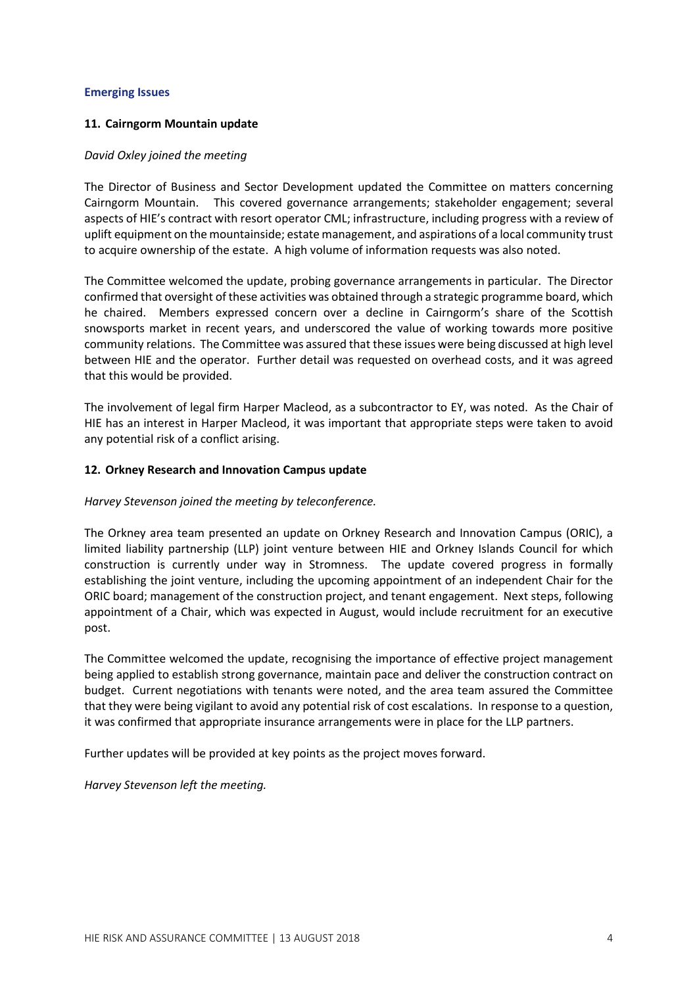#### Emerging Issues

### 11. Cairngorm Mountain update

#### David Oxley joined the meeting

The Director of Business and Sector Development updated the Committee on matters concerning Cairngorm Mountain. This covered governance arrangements; stakeholder engagement; several aspects of HIE's contract with resort operator CML; infrastructure, including progress with a review of uplift equipment on the mountainside; estate management, and aspirations of a local community trust to acquire ownership of the estate. A high volume of information requests was also noted.

The Committee welcomed the update, probing governance arrangements in particular. The Director confirmed that oversight of these activities was obtained through a strategic programme board, which he chaired. Members expressed concern over a decline in Cairngorm's share of the Scottish snowsports market in recent years, and underscored the value of working towards more positive community relations. The Committee was assured that these issues were being discussed at high level between HIE and the operator. Further detail was requested on overhead costs, and it was agreed that this would be provided.

The involvement of legal firm Harper Macleod, as a subcontractor to EY, was noted. As the Chair of HIE has an interest in Harper Macleod, it was important that appropriate steps were taken to avoid any potential risk of a conflict arising.

#### 12. Orkney Research and Innovation Campus update

### Harvey Stevenson joined the meeting by teleconference.

The Orkney area team presented an update on Orkney Research and Innovation Campus (ORIC), a limited liability partnership (LLP) joint venture between HIE and Orkney Islands Council for which construction is currently under way in Stromness. The update covered progress in formally establishing the joint venture, including the upcoming appointment of an independent Chair for the ORIC board; management of the construction project, and tenant engagement. Next steps, following appointment of a Chair, which was expected in August, would include recruitment for an executive post.

The Committee welcomed the update, recognising the importance of effective project management being applied to establish strong governance, maintain pace and deliver the construction contract on budget. Current negotiations with tenants were noted, and the area team assured the Committee that they were being vigilant to avoid any potential risk of cost escalations. In response to a question, it was confirmed that appropriate insurance arrangements were in place for the LLP partners.

Further updates will be provided at key points as the project moves forward.

Harvey Stevenson left the meeting.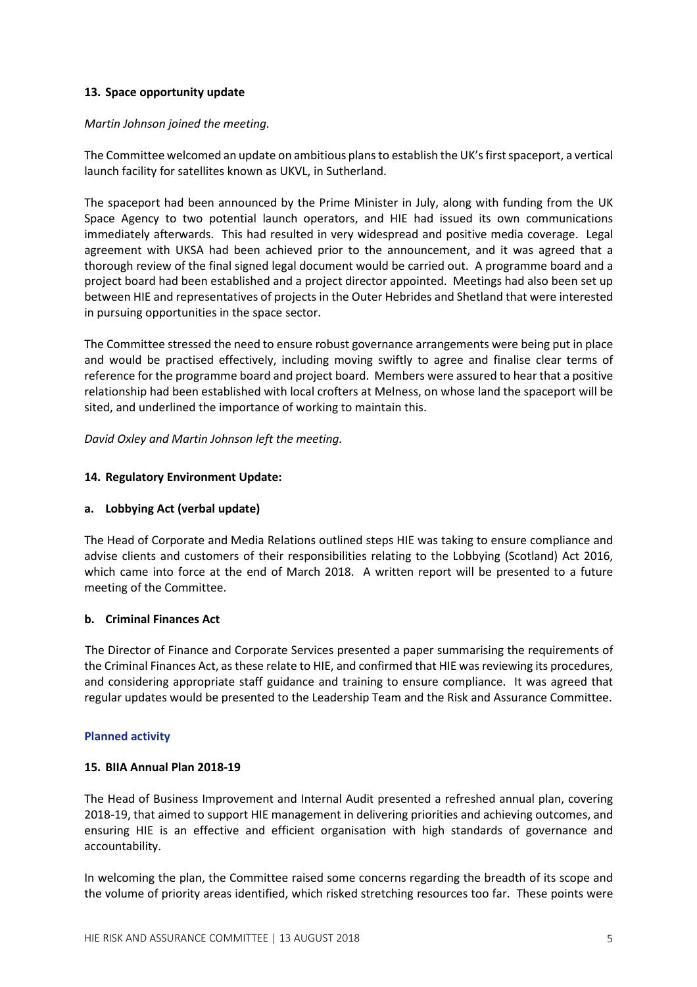### 13. Space opportunity update

### Martin Johnson joined the meeting.

The Committee welcomed an update on ambitious plans to establish the UK's first spaceport, a vertical launch facility for satellites known as UKVL, in Sutherland.

The spaceport had been announced by the Prime Minister in July, along with funding from the UK Space Agency to two potential launch operators, and HIE had issued its own communications immediately afterwards. This had resulted in very widespread and positive media coverage. Legal agreement with UKSA had been achieved prior to the announcement, and it was agreed that a thorough review of the final signed legal document would be carried out. A programme board and a project board had been established and a project director appointed. Meetings had also been set up between HIE and representatives of projects in the Outer Hebrides and Shetland that were interested in pursuing opportunities in the space sector.

The Committee stressed the need to ensure robust governance arrangements were being put in place and would be practised effectively, including moving swiftly to agree and finalise clear terms of reference for the programme board and project board. Members were assured to hear that a positive relationship had been established with local crofters at Melness, on whose land the spaceport will be sited, and underlined the importance of working to maintain this.

David Oxley and Martin Johnson left the meeting.

# 14. Regulatory Environment Update:

### a. Lobbying Act (verbal update)

The Head of Corporate and Media Relations outlined steps HIE was taking to ensure compliance and advise clients and customers of their responsibilities relating to the Lobbying (Scotland) Act 2016, which came into force at the end of March 2018. A written report will be presented to a future meeting of the Committee.

### b. Criminal Finances Act

The Director of Finance and Corporate Services presented a paper summarising the requirements of the Criminal Finances Act, as these relate to HIE, and confirmed that HIE was reviewing its procedures, and considering appropriate staff guidance and training to ensure compliance. It was agreed that regular updates would be presented to the Leadership Team and the Risk and Assurance Committee.

### Planned activity

### 15. BIIA Annual Plan 2018-19

The Head of Business Improvement and Internal Audit presented a refreshed annual plan, covering 2018-19, that aimed to support HIE management in delivering priorities and achieving outcomes, and ensuring HIE is an effective and efficient organisation with high standards of governance and accountability.

In welcoming the plan, the Committee raised some concerns regarding the breadth of its scope and the volume of priority areas identified, which risked stretching resources too far. These points were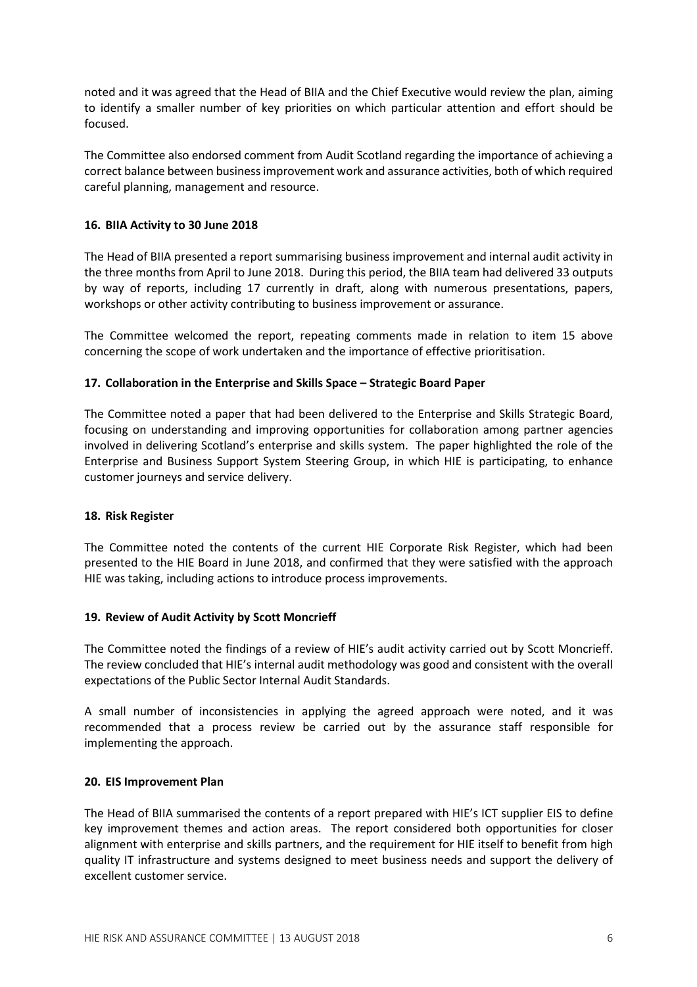noted and it was agreed that the Head of BIIA and the Chief Executive would review the plan, aiming to identify a smaller number of key priorities on which particular attention and effort should be focused.

The Committee also endorsed comment from Audit Scotland regarding the importance of achieving a correct balance between business improvement work and assurance activities, both of which required careful planning, management and resource.

# 16. BIIA Activity to 30 June 2018

The Head of BIIA presented a report summarising business improvement and internal audit activity in the three months from April to June 2018. During this period, the BIIA team had delivered 33 outputs by way of reports, including 17 currently in draft, along with numerous presentations, papers, workshops or other activity contributing to business improvement or assurance.

The Committee welcomed the report, repeating comments made in relation to item 15 above concerning the scope of work undertaken and the importance of effective prioritisation.

# 17. Collaboration in the Enterprise and Skills Space – Strategic Board Paper

The Committee noted a paper that had been delivered to the Enterprise and Skills Strategic Board, focusing on understanding and improving opportunities for collaboration among partner agencies involved in delivering Scotland's enterprise and skills system. The paper highlighted the role of the Enterprise and Business Support System Steering Group, in which HIE is participating, to enhance customer journeys and service delivery.

### 18. Risk Register

The Committee noted the contents of the current HIE Corporate Risk Register, which had been presented to the HIE Board in June 2018, and confirmed that they were satisfied with the approach HIE was taking, including actions to introduce process improvements.

### 19. Review of Audit Activity by Scott Moncrieff

The Committee noted the findings of a review of HIE's audit activity carried out by Scott Moncrieff. The review concluded that HIE's internal audit methodology was good and consistent with the overall expectations of the Public Sector Internal Audit Standards.

A small number of inconsistencies in applying the agreed approach were noted, and it was recommended that a process review be carried out by the assurance staff responsible for implementing the approach.

### 20. EIS Improvement Plan

The Head of BIIA summarised the contents of a report prepared with HIE's ICT supplier EIS to define key improvement themes and action areas. The report considered both opportunities for closer alignment with enterprise and skills partners, and the requirement for HIE itself to benefit from high quality IT infrastructure and systems designed to meet business needs and support the delivery of excellent customer service.